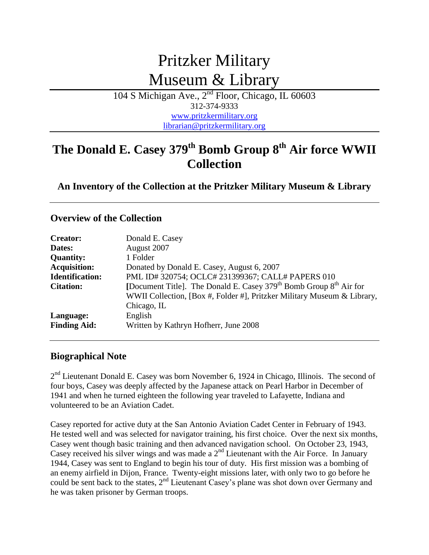# Pritzker Military Museum & Library

104 S Michigan Ave., 2<sup>nd</sup> Floor, Chicago, IL 60603 312-374-9333 [www.pritzkermilitary.org](http://www.pritzkermilitary.org/) [librarian@pritzkermilitary.org](mailto:librarian@pritzkermilitarylibrary.org)

## **The Donald E. Casey 379th Bomb Group 8th Air force WWII Collection**

**An Inventory of the Collection at the Pritzker Military Museum & Library**

#### **Overview of the Collection**

| <b>Creator:</b>        | Donald E. Casey                                                         |
|------------------------|-------------------------------------------------------------------------|
| Dates:                 | August 2007                                                             |
| <b>Quantity:</b>       | 1 Folder                                                                |
| <b>Acquisition:</b>    | Donated by Donald E. Casey, August 6, 2007                              |
| <b>Identification:</b> | PML ID#320754; OCLC#231399367; CALL# PAPERS 010                         |
| <b>Citation:</b>       | [Document Title]. The Donald E. Casey $379th$ Bomb Group $8th$ Air for  |
|                        | WWII Collection, [Box #, Folder #], Pritzker Military Museum & Library, |
|                        | Chicago, IL                                                             |
| Language:              | English                                                                 |
| <b>Finding Aid:</b>    | Written by Kathryn Hofherr, June 2008                                   |

#### **Biographical Note**

 $2<sup>nd</sup>$  Lieutenant Donald E. Casey was born November 6, 1924 in Chicago, Illinois. The second of four boys, Casey was deeply affected by the Japanese attack on Pearl Harbor in December of 1941 and when he turned eighteen the following year traveled to Lafayette, Indiana and volunteered to be an Aviation Cadet.

Casey reported for active duty at the San Antonio Aviation Cadet Center in February of 1943. He tested well and was selected for navigator training, his first choice. Over the next six months, Casey went though basic training and then advanced navigation school. On October 23, 1943, Casey received his silver wings and was made a  $2<sup>nd</sup>$  Lieutenant with the Air Force. In January 1944, Casey was sent to England to begin his tour of duty. His first mission was a bombing of an enemy airfield in Dijon, France. Twenty-eight missions later, with only two to go before he could be sent back to the states,  $2<sup>nd</sup>$  Lieutenant Casey's plane was shot down over Germany and he was taken prisoner by German troops.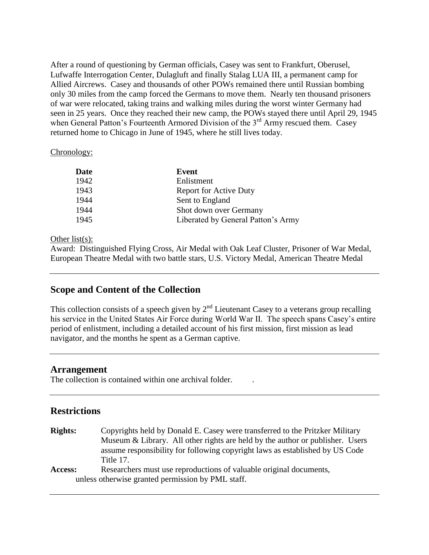After a round of questioning by German officials, Casey was sent to Frankfurt, Oberusel, Lufwaffe Interrogation Center, Dulagluft and finally Stalag LUA III, a permanent camp for Allied Aircrews. Casey and thousands of other POWs remained there until Russian bombing only 30 miles from the camp forced the Germans to move them. Nearly ten thousand prisoners of war were relocated, taking trains and walking miles during the worst winter Germany had seen in 25 years. Once they reached their new camp, the POWs stayed there until April 29, 1945 when General Patton's Fourteenth Armored Division of the 3<sup>rd</sup> Army rescued them. Casey returned home to Chicago in June of 1945, where he still lives today.

#### Chronology:

| Date | Event                              |
|------|------------------------------------|
| 1942 | Enlistment                         |
| 1943 | <b>Report for Active Duty</b>      |
| 1944 | Sent to England                    |
| 1944 | Shot down over Germany             |
| 1945 | Liberated by General Patton's Army |

#### Other list(s):

Award: Distinguished Flying Cross, Air Medal with Oak Leaf Cluster, Prisoner of War Medal, European Theatre Medal with two battle stars, U.S. Victory Medal, American Theatre Medal

#### **Scope and Content of the Collection**

This collection consists of a speech given by  $2<sup>nd</sup>$  Lieutenant Casey to a veterans group recalling his service in the United States Air Force during World War II. The speech spans Casey's entire period of enlistment, including a detailed account of his first mission, first mission as lead navigator, and the months he spent as a German captive.

#### **Arrangement**

The collection is contained within one archival folder.

#### **Restrictions**

**Rights:** Copyrights held by Donald E. Casey were transferred to the Pritzker Military Museum & Library. All other rights are held by the author or publisher. Users assume responsibility for following copyright laws as established by US Code Title 17.

Access: Researchers must use reproductions of valuable original documents, unless otherwise granted permission by PML staff.